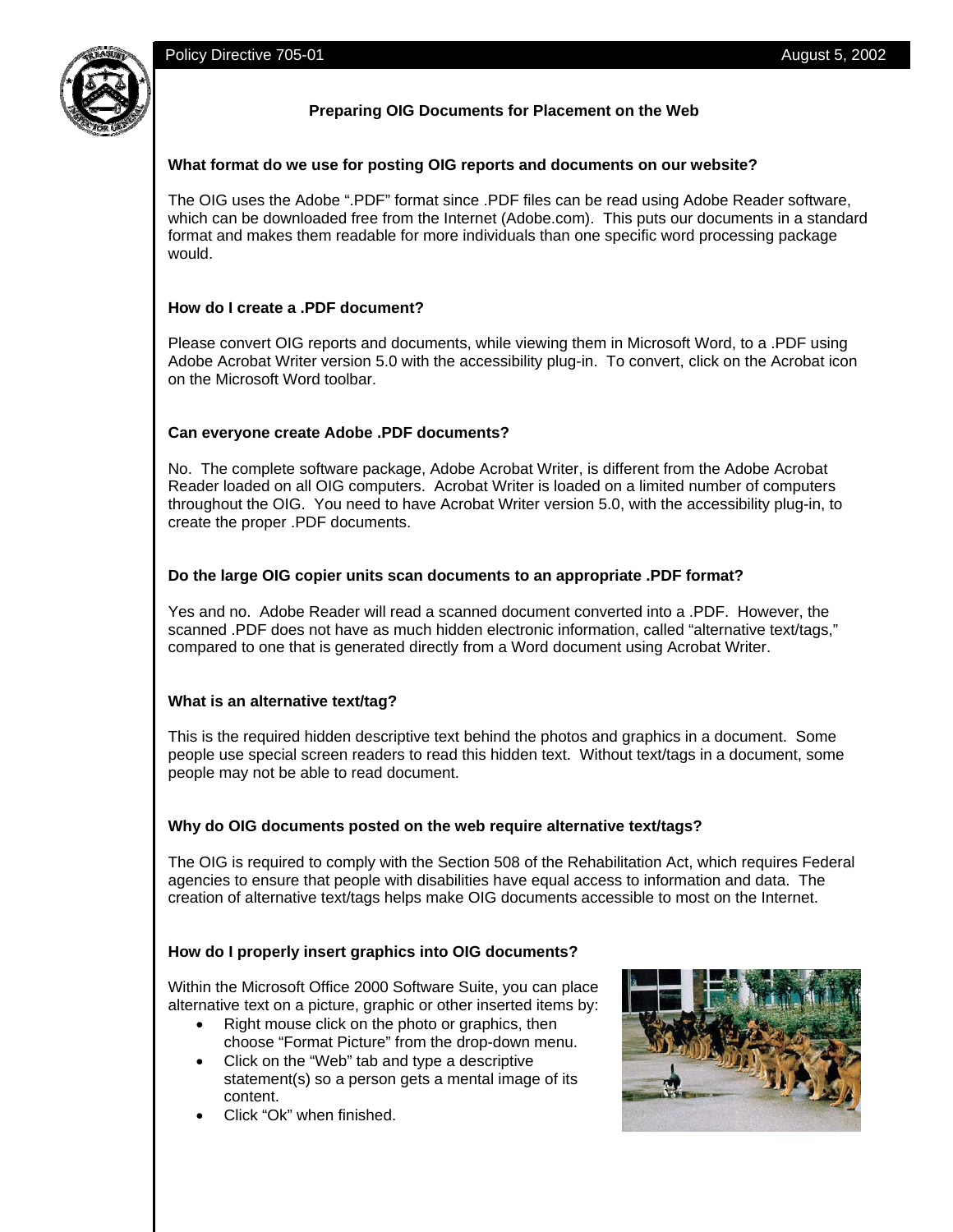

# **Preparing OIG Documents for Placement on the Web**

### **What format do we use for posting OIG reports and documents on our website?**

The OIG uses the Adobe ".PDF" format since .PDF files can be read using Adobe Reader software, which can be downloaded free from the Internet (Adobe.com). This puts our documents in a standard format and makes them readable for more individuals than one specific word processing package would.

### **How do I create a .PDF document?**

Please convert OIG reports and documents, while viewing them in Microsoft Word, to a .PDF using Adobe Acrobat Writer version 5.0 with the accessibility plug-in. To convert, click on the Acrobat icon on the Microsoft Word toolbar.

#### **Can everyone create Adobe .PDF documents?**

No. The complete software package, Adobe Acrobat Writer, is different from the Adobe Acrobat Reader loaded on all OIG computers. Acrobat Writer is loaded on a limited number of computers throughout the OIG. You need to have Acrobat Writer version 5.0, with the accessibility plug-in, to create the proper .PDF documents.

#### **Do the large OIG copier units scan documents to an appropriate .PDF format?**

Yes and no. Adobe Reader will read a scanned document converted into a .PDF. However, the scanned .PDF does not have as much hidden electronic information, called "alternative text/tags," compared to one that is generated directly from a Word document using Acrobat Writer.

### **What is an alternative text/tag?**

This is the required hidden descriptive text behind the photos and graphics in a document. Some people use special screen readers to read this hidden text. Without text/tags in a document, some people may not be able to read document.

### **Why do OIG documents posted on the web require alternative text/tags?**

The OIG is required to comply with the Section 508 of the Rehabilitation Act, which requires Federal agencies to ensure that people with disabilities have equal access to information and data. The creation of alternative text/tags helps make OIG documents accessible to most on the Internet.

#### **How do I properly insert graphics into OIG documents?**

Within the Microsoft Office 2000 Software Suite, you can place alternative text on a picture, graphic or other inserted items by:

- Right mouse click on the photo or graphics, then choose "Format Picture" from the drop-down menu.
- Click on the "Web" tab and type a descriptive statement(s) so a person gets a mental image of its content.
- Click "Ok" when finished.